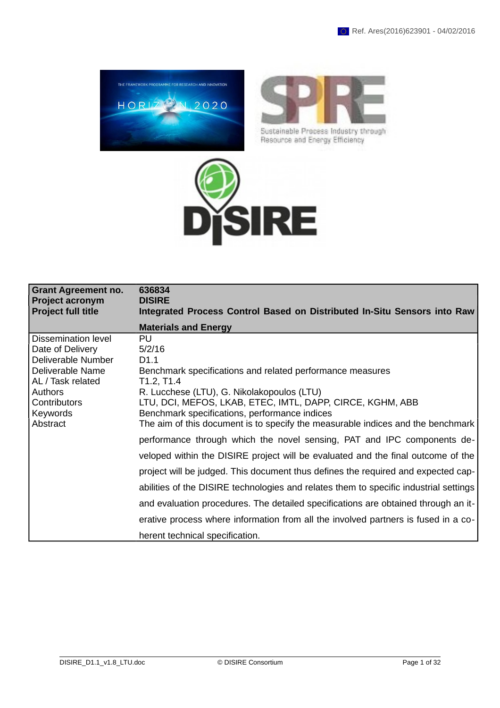



Sustainable Process Industry through Resource and Energy Efficiency



| <b>Grant Agreement no.</b><br><b>Project acronym</b><br>Project full title | 636834<br><b>DISIRE</b><br>Integrated Process Control Based on Distributed In-Situ Sensors into Raw |
|----------------------------------------------------------------------------|-----------------------------------------------------------------------------------------------------|
|                                                                            | <b>Materials and Energy</b>                                                                         |
| Dissemination level<br>Date of Delivery                                    | <b>PU</b><br>5/2/16                                                                                 |
| Deliverable Number                                                         | D <sub>1.1</sub>                                                                                    |
| Deliverable Name                                                           | Benchmark specifications and related performance measures                                           |
| AL / Task related                                                          | T1.2, T1.4                                                                                          |
| Authors                                                                    | R. Lucchese (LTU), G. Nikolakopoulos (LTU)                                                          |
| Contributors                                                               | LTU, DCI, MEFOS, LKAB, ETEC, IMTL, DAPP, CIRCE, KGHM, ABB                                           |
| Keywords<br>Abstract                                                       | Benchmark specifications, performance indices                                                       |
|                                                                            | The aim of this document is to specify the measurable indices and the benchmark                     |
|                                                                            | performance through which the novel sensing, PAT and IPC components de-                             |
|                                                                            | veloped within the DISIRE project will be evaluated and the final outcome of the                    |
|                                                                            | project will be judged. This document thus defines the required and expected cap-                   |
|                                                                            | abilities of the DISIRE technologies and relates them to specific industrial settings               |
|                                                                            | and evaluation procedures. The detailed specifications are obtained through an it-                  |
|                                                                            | erative process where information from all the involved partners is fused in a co-                  |
|                                                                            | herent technical specification.                                                                     |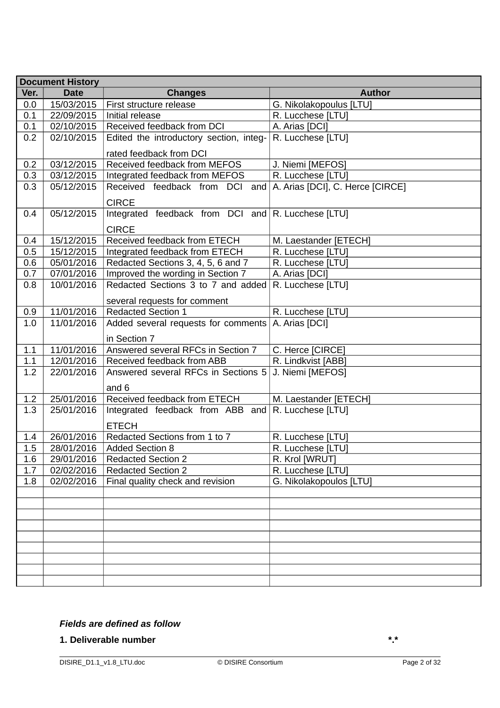|                                                      | <b>Document History</b>                                                                                      |                                                                                                                                                                                                                                                                                                          |                                                                                                                                                         |
|------------------------------------------------------|--------------------------------------------------------------------------------------------------------------|----------------------------------------------------------------------------------------------------------------------------------------------------------------------------------------------------------------------------------------------------------------------------------------------------------|---------------------------------------------------------------------------------------------------------------------------------------------------------|
| Ver.                                                 | <b>Date</b>                                                                                                  | <b>Changes</b>                                                                                                                                                                                                                                                                                           | <b>Author</b>                                                                                                                                           |
| 0.0                                                  | 15/03/2015                                                                                                   | First structure release                                                                                                                                                                                                                                                                                  | G. Nikolakopoulus [LTU]                                                                                                                                 |
| 0.1                                                  | 22/09/2015                                                                                                   | Initial release                                                                                                                                                                                                                                                                                          | R. Lucchese [LTU]                                                                                                                                       |
| 0.1                                                  | 02/10/2015                                                                                                   | Received feedback from DCI                                                                                                                                                                                                                                                                               | A. Arias [DCI]                                                                                                                                          |
| 0.2                                                  | 02/10/2015                                                                                                   | Edited the introductory section, integ-                                                                                                                                                                                                                                                                  | R. Lucchese [LTU]                                                                                                                                       |
|                                                      |                                                                                                              | rated feedback from DCI                                                                                                                                                                                                                                                                                  |                                                                                                                                                         |
| 0.2                                                  | 03/12/2015                                                                                                   | Received feedback from MEFOS                                                                                                                                                                                                                                                                             | J. Niemi [MEFOS]                                                                                                                                        |
| 0.3                                                  | 03/12/2015                                                                                                   | Integrated feedback from MEFOS                                                                                                                                                                                                                                                                           | R. Lucchese [LTU]                                                                                                                                       |
| 0.3                                                  | 05/12/2015                                                                                                   | Received feedback from DCI                                                                                                                                                                                                                                                                               | and $ A$ . Arias [DCI], C. Herce [CIRCE]                                                                                                                |
|                                                      |                                                                                                              | <b>CIRCE</b>                                                                                                                                                                                                                                                                                             |                                                                                                                                                         |
| 0.4                                                  | 05/12/2015                                                                                                   | Integrated feedback from $DCI$ and $R$ . Lucchese [LTU]                                                                                                                                                                                                                                                  |                                                                                                                                                         |
|                                                      |                                                                                                              |                                                                                                                                                                                                                                                                                                          |                                                                                                                                                         |
|                                                      |                                                                                                              | <b>CIRCE</b>                                                                                                                                                                                                                                                                                             |                                                                                                                                                         |
| 0.4<br>0.5                                           | 15/12/2015                                                                                                   | Received feedback from ETECH                                                                                                                                                                                                                                                                             | M. Laestander [ETECH]                                                                                                                                   |
| 0.6                                                  | 15/12/2015                                                                                                   | Integrated feedback from ETECH<br>Redacted Sections 3, 4, 5, 6 and 7                                                                                                                                                                                                                                     | R. Lucchese [LTU]                                                                                                                                       |
| 0.7                                                  | 05/01/2016<br>07/01/2016                                                                                     | Improved the wording in Section 7                                                                                                                                                                                                                                                                        | R. Lucchese [LTU]                                                                                                                                       |
| 0.8                                                  | 10/01/2016                                                                                                   | Redacted Sections 3 to 7 and added                                                                                                                                                                                                                                                                       | A. Arias [DCI]<br>R. Lucchese [LTU]                                                                                                                     |
|                                                      |                                                                                                              |                                                                                                                                                                                                                                                                                                          |                                                                                                                                                         |
|                                                      |                                                                                                              | several requests for comment                                                                                                                                                                                                                                                                             |                                                                                                                                                         |
| 0.9                                                  | 11/01/2016                                                                                                   | <b>Redacted Section 1</b>                                                                                                                                                                                                                                                                                | R. Lucchese [LTU]                                                                                                                                       |
| 1.0                                                  | 11/01/2016                                                                                                   | Added several requests for comments                                                                                                                                                                                                                                                                      | A. Arias [DCI]                                                                                                                                          |
|                                                      |                                                                                                              | in Section 7                                                                                                                                                                                                                                                                                             |                                                                                                                                                         |
| 1.1                                                  | 11/01/2016                                                                                                   | Answered several RFCs in Section 7                                                                                                                                                                                                                                                                       | C. Herce [CIRCE]                                                                                                                                        |
|                                                      |                                                                                                              |                                                                                                                                                                                                                                                                                                          |                                                                                                                                                         |
| 1.2                                                  | 22/01/2016                                                                                                   | Answered several RFCs in Sections 5                                                                                                                                                                                                                                                                      | J. Niemi [MEFOS]                                                                                                                                        |
|                                                      |                                                                                                              |                                                                                                                                                                                                                                                                                                          |                                                                                                                                                         |
|                                                      |                                                                                                              |                                                                                                                                                                                                                                                                                                          |                                                                                                                                                         |
|                                                      |                                                                                                              |                                                                                                                                                                                                                                                                                                          |                                                                                                                                                         |
|                                                      |                                                                                                              |                                                                                                                                                                                                                                                                                                          |                                                                                                                                                         |
|                                                      |                                                                                                              |                                                                                                                                                                                                                                                                                                          |                                                                                                                                                         |
|                                                      |                                                                                                              |                                                                                                                                                                                                                                                                                                          |                                                                                                                                                         |
|                                                      |                                                                                                              |                                                                                                                                                                                                                                                                                                          |                                                                                                                                                         |
|                                                      |                                                                                                              |                                                                                                                                                                                                                                                                                                          |                                                                                                                                                         |
|                                                      |                                                                                                              |                                                                                                                                                                                                                                                                                                          |                                                                                                                                                         |
|                                                      |                                                                                                              |                                                                                                                                                                                                                                                                                                          |                                                                                                                                                         |
|                                                      |                                                                                                              |                                                                                                                                                                                                                                                                                                          |                                                                                                                                                         |
|                                                      |                                                                                                              |                                                                                                                                                                                                                                                                                                          |                                                                                                                                                         |
|                                                      |                                                                                                              |                                                                                                                                                                                                                                                                                                          |                                                                                                                                                         |
|                                                      |                                                                                                              |                                                                                                                                                                                                                                                                                                          |                                                                                                                                                         |
|                                                      |                                                                                                              |                                                                                                                                                                                                                                                                                                          |                                                                                                                                                         |
|                                                      |                                                                                                              |                                                                                                                                                                                                                                                                                                          |                                                                                                                                                         |
|                                                      |                                                                                                              |                                                                                                                                                                                                                                                                                                          |                                                                                                                                                         |
|                                                      |                                                                                                              |                                                                                                                                                                                                                                                                                                          |                                                                                                                                                         |
| 1.1<br>1.2<br>1.3<br>1.4<br>1.5<br>1.6<br>1.7<br>1.8 | 12/01/2016<br>25/01/2016<br>25/01/2016<br>26/01/2016<br>28/01/2016<br>29/01/2016<br>02/02/2016<br>02/02/2016 | Received feedback from ABB<br>and 6<br>Received feedback from ETECH<br>Integrated feedback from ABB and $ R$ . Lucchese $[LTU]$<br><b>ETECH</b><br>Redacted Sections from 1 to 7<br><b>Added Section 8</b><br><b>Redacted Section 2</b><br><b>Redacted Section 2</b><br>Final quality check and revision | R. Lindkvist [ABB]<br>M. Laestander [ETECH]<br>R. Lucchese [LTU]<br>R. Lucchese [LTU]<br>R. Krol [WRUT]<br>R. Lucchese [LTU]<br>G. Nikolakopoulos [LTU] |

## *Fields are defined as follow*

## **1. Deliverable number \*.\***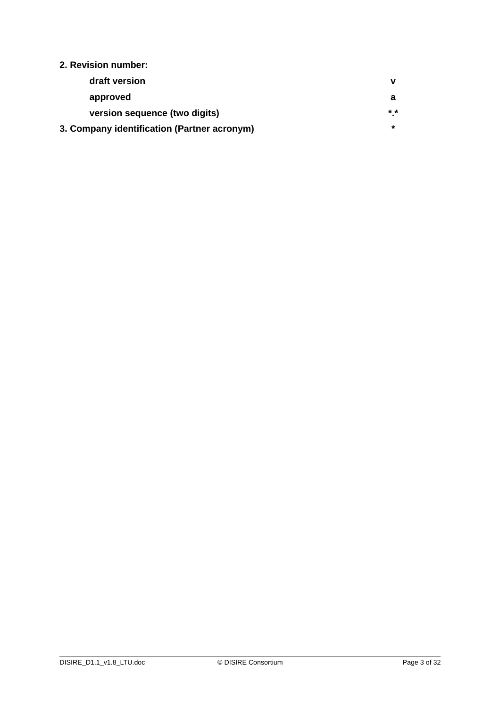## **2. Revision number:**

| draft version                               |               |
|---------------------------------------------|---------------|
| approved                                    |               |
| version sequence (two digits)               | $\star \star$ |
| 3. Company identification (Partner acronym) |               |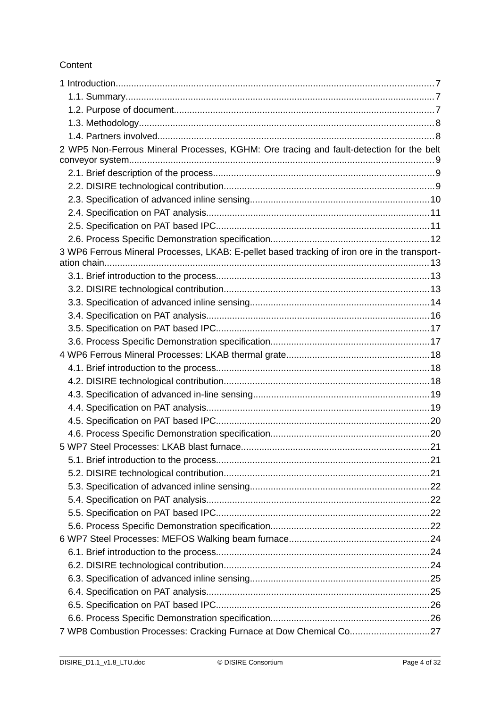## Content

| 2 WP5 Non-Ferrous Mineral Processes, KGHM: Ore tracing and fault-detection for the belt      |  |
|----------------------------------------------------------------------------------------------|--|
|                                                                                              |  |
|                                                                                              |  |
|                                                                                              |  |
|                                                                                              |  |
|                                                                                              |  |
|                                                                                              |  |
|                                                                                              |  |
| 3 WP6 Ferrous Mineral Processes, LKAB: E-pellet based tracking of iron ore in the transport- |  |
|                                                                                              |  |
|                                                                                              |  |
|                                                                                              |  |
|                                                                                              |  |
|                                                                                              |  |
|                                                                                              |  |
|                                                                                              |  |
|                                                                                              |  |
|                                                                                              |  |
|                                                                                              |  |
|                                                                                              |  |
|                                                                                              |  |
|                                                                                              |  |
|                                                                                              |  |
|                                                                                              |  |
|                                                                                              |  |
|                                                                                              |  |
|                                                                                              |  |
|                                                                                              |  |
|                                                                                              |  |
|                                                                                              |  |
|                                                                                              |  |
|                                                                                              |  |
|                                                                                              |  |
|                                                                                              |  |
|                                                                                              |  |
|                                                                                              |  |
|                                                                                              |  |
| 7 WP8 Combustion Processes: Cracking Furnace at Dow Chemical Co27                            |  |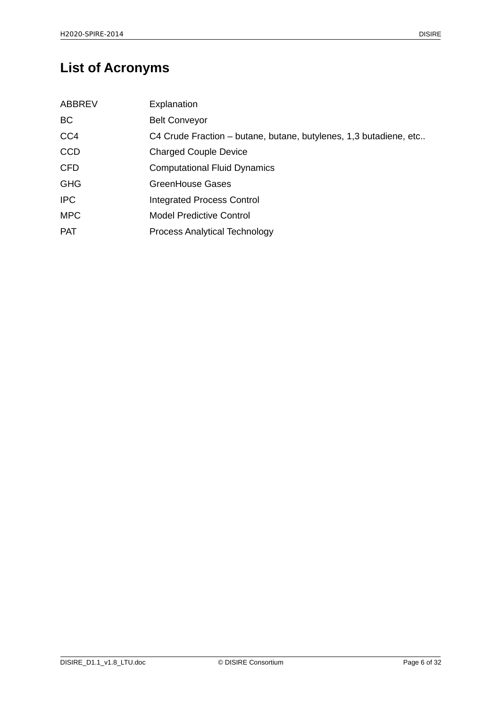# **List of Acronyms**

| <b>ABBREV</b> | Explanation                                                       |
|---------------|-------------------------------------------------------------------|
| BC.           | <b>Belt Conveyor</b>                                              |
| CC4           | C4 Crude Fraction – butane, butane, butylenes, 1,3 butadiene, etc |
| <b>CCD</b>    | <b>Charged Couple Device</b>                                      |
| <b>CFD</b>    | <b>Computational Fluid Dynamics</b>                               |
| <b>GHG</b>    | GreenHouse Gases                                                  |
| <b>IPC</b>    | <b>Integrated Process Control</b>                                 |
| <b>MPC</b>    | <b>Model Predictive Control</b>                                   |
| <b>PAT</b>    | <b>Process Analytical Technology</b>                              |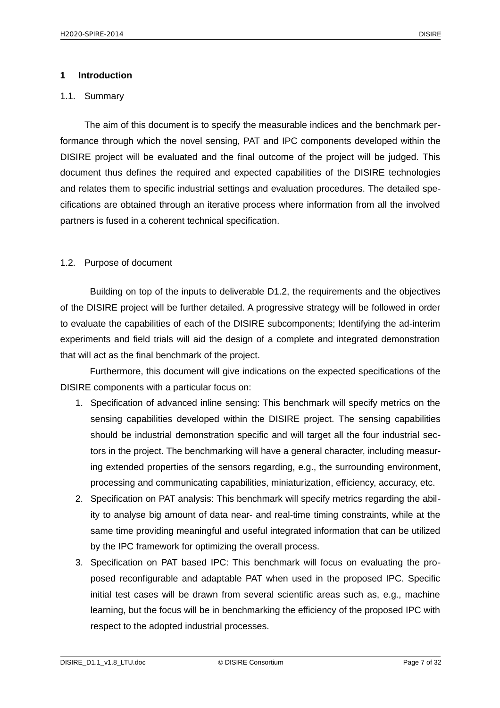#### <span id="page-6-2"></span>**1 Introduction**

#### <span id="page-6-1"></span>1.1. Summary

The aim of this document is to specify the measurable indices and the benchmark performance through which the novel sensing, PAT and IPC components developed within the DISIRE project will be evaluated and the final outcome of the project will be judged. This document thus defines the required and expected capabilities of the DISIRE technologies and relates them to specific industrial settings and evaluation procedures. The detailed specifications are obtained through an iterative process where information from all the involved partners is fused in a coherent technical specification.

## <span id="page-6-0"></span>1.2. Purpose of document

Building on top of the inputs to deliverable D1.2, the requirements and the objectives of the DISIRE project will be further detailed. A progressive strategy will be followed in order to evaluate the capabilities of each of the DISIRE subcomponents; Identifying the ad-interim experiments and field trials will aid the design of a complete and integrated demonstration that will act as the final benchmark of the project.

Furthermore, this document will give indications on the expected specifications of the DISIRE components with a particular focus on:

- 1. Specification of advanced inline sensing: This benchmark will specify metrics on the sensing capabilities developed within the DISIRE project. The sensing capabilities should be industrial demonstration specific and will target all the four industrial sectors in the project. The benchmarking will have a general character, including measuring extended properties of the sensors regarding, e.g., the surrounding environment, processing and communicating capabilities, miniaturization, efficiency, accuracy, etc.
- 2. Specification on PAT analysis: This benchmark will specify metrics regarding the ability to analyse big amount of data near- and real-time timing constraints, while at the same time providing meaningful and useful integrated information that can be utilized by the IPC framework for optimizing the overall process.
- 3. Specification on PAT based IPC: This benchmark will focus on evaluating the proposed reconfigurable and adaptable PAT when used in the proposed IPC. Specific initial test cases will be drawn from several scientific areas such as, e.g., machine learning, but the focus will be in benchmarking the efficiency of the proposed IPC with respect to the adopted industrial processes.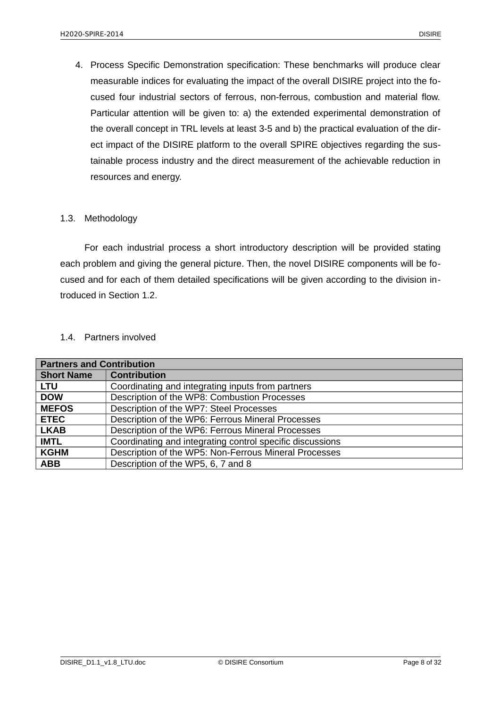4. Process Specific Demonstration specification: These benchmarks will produce clear measurable indices for evaluating the impact of the overall DISIRE project into the focused four industrial sectors of ferrous, non-ferrous, combustion and material flow. Particular attention will be given to: a) the extended experimental demonstration of the overall concept in TRL levels at least 3-5 and b) the practical evaluation of the direct impact of the DISIRE platform to the overall SPIRE objectives regarding the sustainable process industry and the direct measurement of the achievable reduction in resources and energy.

## <span id="page-7-1"></span>1.3. Methodology

For each industrial process a short introductory description will be provided stating each problem and giving the general picture. Then, the novel DISIRE components will be focused and for each of them detailed specifications will be given according to the division introduced in Section 1.2.

#### <span id="page-7-0"></span>1.4. Partners involved

| <b>Partners and Contribution</b> |                                                           |
|----------------------------------|-----------------------------------------------------------|
| <b>Short Name</b>                | <b>Contribution</b>                                       |
| <b>LTU</b>                       | Coordinating and integrating inputs from partners         |
| <b>DOW</b>                       | Description of the WP8: Combustion Processes              |
| <b>MEFOS</b>                     | Description of the WP7: Steel Processes                   |
| <b>ETEC</b>                      | Description of the WP6: Ferrous Mineral Processes         |
| <b>LKAB</b>                      | Description of the WP6: Ferrous Mineral Processes         |
| <b>IMTL</b>                      | Coordinating and integrating control specific discussions |
| <b>KGHM</b>                      | Description of the WP5: Non-Ferrous Mineral Processes     |
| <b>ABB</b>                       | Description of the WP5, 6, 7 and 8                        |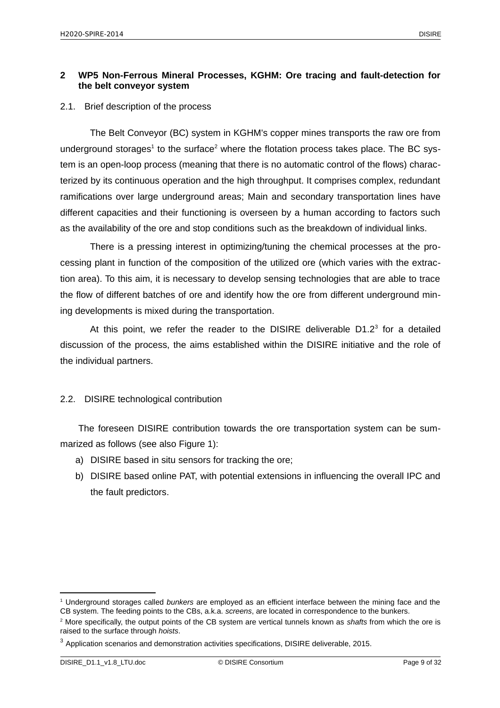## <span id="page-8-2"></span>**2 WP5 Non-Ferrous Mineral Processes, KGHM: Ore tracing and fault-detection for the belt conveyor system**

#### <span id="page-8-1"></span>2.1. Brief description of the process

The Belt Conveyor (BC) system in KGHM's copper mines transports the raw ore from underground storages<sup>[1](#page-8-3)</sup> to the surface<sup>[2](#page-8-4)</sup> where the flotation process takes place. The BC system is an open-loop process (meaning that there is no automatic control of the flows) characterized by its continuous operation and the high throughput. It comprises complex, redundant ramifications over large underground areas; Main and secondary transportation lines have different capacities and their functioning is overseen by a human according to factors such as the availability of the ore and stop conditions such as the breakdown of individual links.

There is a pressing interest in optimizing/tuning the chemical processes at the processing plant in function of the composition of the utilized ore (which varies with the extraction area). To this aim, it is necessary to develop sensing technologies that are able to trace the flow of different batches of ore and identify how the ore from different underground mining developments is mixed during the transportation.

At this point, we refer the reader to the DISIRE deliverable  $D1.2<sup>3</sup>$  $D1.2<sup>3</sup>$  $D1.2<sup>3</sup>$  for a detailed discussion of the process, the aims established within the DISIRE initiative and the role of the individual partners.

## <span id="page-8-0"></span>2.2. DISIRE technological contribution

The foreseen DISIRE contribution towards the ore transportation system can be summarized as follows (see also Figure 1):

- a) DISIRE based in situ sensors for tracking the ore;
- b) DISIRE based online PAT, with potential extensions in influencing the overall IPC and the fault predictors.

<span id="page-8-3"></span><sup>1</sup> Underground storages called *bunkers* are employed as an efficient interface between the mining face and the CB system. The feeding points to the CBs, a.k.a. *screens*, are located in correspondence to the bunkers.

<span id="page-8-4"></span><sup>2</sup> More specifically, the output points of the CB system are vertical tunnels known as *shafts* from which the ore is raised to the surface through *hoists*.

<span id="page-8-5"></span><sup>3</sup> Application scenarios and demonstration activities specifications, DISIRE deliverable, 2015.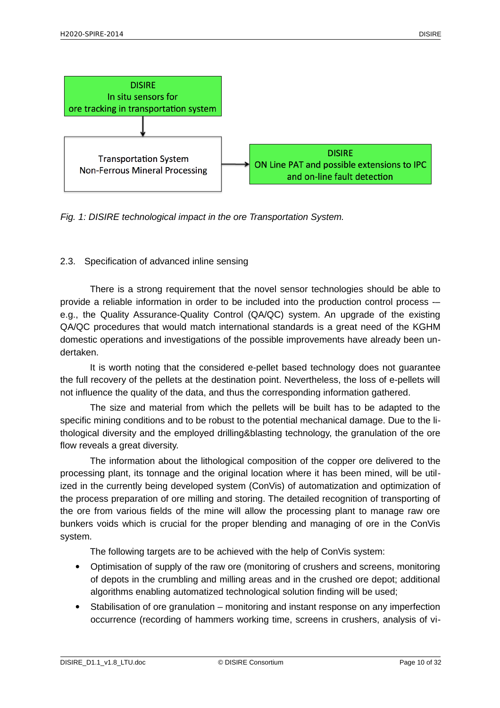

*Fig. 1: DISIRE technological impact in the ore Transportation System.*

## <span id="page-9-0"></span>2.3. Specification of advanced inline sensing

There is a strong requirement that the novel sensor technologies should be able to provide a reliable information in order to be included into the production control process -– e.g., the Quality Assurance-Quality Control (QA/QC) system. An upgrade of the existing QA/QC procedures that would match international standards is a great need of the KGHM domestic operations and investigations of the possible improvements have already been undertaken.

It is worth noting that the considered e-pellet based technology does not guarantee the full recovery of the pellets at the destination point. Nevertheless, the loss of e-pellets will not influence the quality of the data, and thus the corresponding information gathered.

The size and material from which the pellets will be built has to be adapted to the specific mining conditions and to be robust to the potential mechanical damage. Due to the lithological diversity and the employed drilling&blasting technology, the granulation of the ore flow reveals a great diversity.

The information about the lithological composition of the copper ore delivered to the processing plant, its tonnage and the original location where it has been mined, will be utilized in the currently being developed system (ConVis) of automatization and optimization of the process preparation of ore milling and storing. The detailed recognition of transporting of the ore from various fields of the mine will allow the processing plant to manage raw ore bunkers voids which is crucial for the proper blending and managing of ore in the ConVis system.

The following targets are to be achieved with the help of ConVis system:

- Optimisation of supply of the raw ore (monitoring of crushers and screens, monitoring of depots in the crumbling and milling areas and in the crushed ore depot; additional algorithms enabling automatized technological solution finding will be used;
- Stabilisation of ore granulation monitoring and instant response on any imperfection occurrence (recording of hammers working time, screens in crushers, analysis of vi-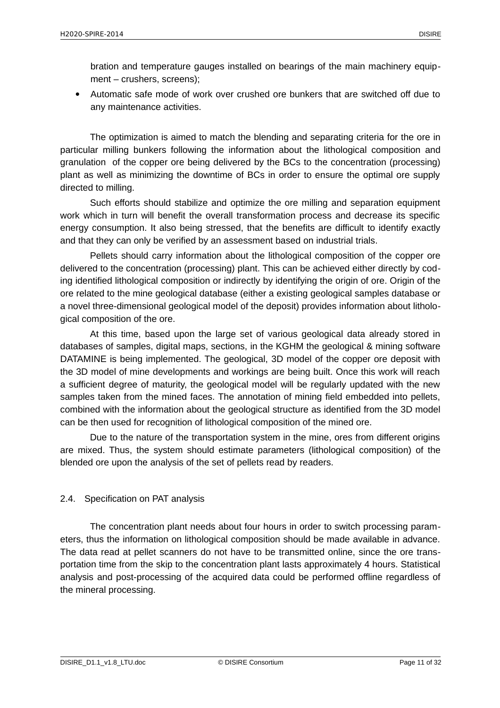bration and temperature gauges installed on bearings of the main machinery equipment – crushers, screens);

 Automatic safe mode of work over crushed ore bunkers that are switched off due to any maintenance activities.

The optimization is aimed to match the blending and separating criteria for the ore in particular milling bunkers following the information about the lithological composition and granulation of the copper ore being delivered by the BCs to the concentration (processing) plant as well as minimizing the downtime of BCs in order to ensure the optimal ore supply directed to milling.

Such efforts should stabilize and optimize the ore milling and separation equipment work which in turn will benefit the overall transformation process and decrease its specific energy consumption. It also being stressed, that the benefits are difficult to identify exactly and that they can only be verified by an assessment based on industrial trials.

Pellets should carry information about the lithological composition of the copper ore delivered to the concentration (processing) plant. This can be achieved either directly by coding identified lithological composition or indirectly by identifying the origin of ore. Origin of the ore related to the mine geological database (either a existing geological samples database or a novel three-dimensional geological model of the deposit) provides information about lithological composition of the ore.

At this time, based upon the large set of various geological data already stored in databases of samples, digital maps, sections, in the KGHM the geological & mining software DATAMINE is being implemented. The geological, 3D model of the copper ore deposit with the 3D model of mine developments and workings are being built. Once this work will reach a sufficient degree of maturity, the geological model will be regularly updated with the new samples taken from the mined faces. The annotation of mining field embedded into pellets, combined with the information about the geological structure as identified from the 3D model can be then used for recognition of lithological composition of the mined ore.

Due to the nature of the transportation system in the mine, ores from different origins are mixed. Thus, the system should estimate parameters (lithological composition) of the blended ore upon the analysis of the set of pellets read by readers.

## <span id="page-10-0"></span>2.4. Specification on PAT analysis

The concentration plant needs about four hours in order to switch processing parameters, thus the information on lithological composition should be made available in advance. The data read at pellet scanners do not have to be transmitted online, since the ore transportation time from the skip to the concentration plant lasts approximately 4 hours. Statistical analysis and post-processing of the acquired data could be performed offline regardless of the mineral processing.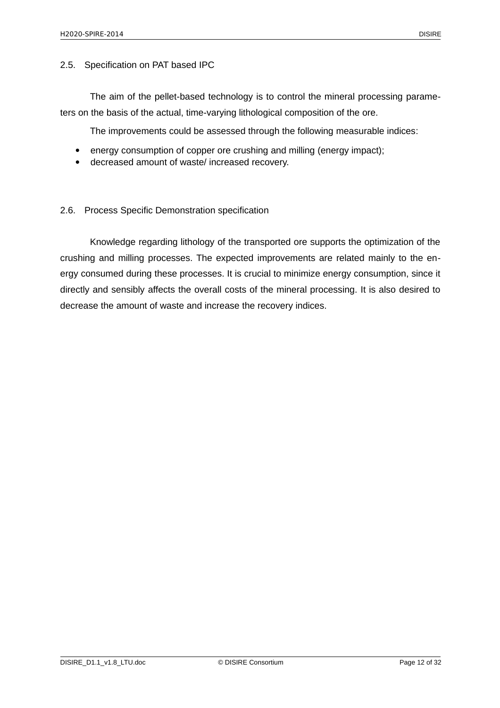#### <span id="page-11-1"></span>2.5. Specification on PAT based IPC

The aim of the pellet-based technology is to control the mineral processing parameters on the basis of the actual, time-varying lithological composition of the ore.

The improvements could be assessed through the following measurable indices:

- energy consumption of copper ore crushing and milling (energy impact);
- decreased amount of waste/ increased recovery.

#### <span id="page-11-0"></span>2.6. Process Specific Demonstration specification

Knowledge regarding lithology of the transported ore supports the optimization of the crushing and milling processes. The expected improvements are related mainly to the energy consumed during these processes. It is crucial to minimize energy consumption, since it directly and sensibly affects the overall costs of the mineral processing. It is also desired to decrease the amount of waste and increase the recovery indices.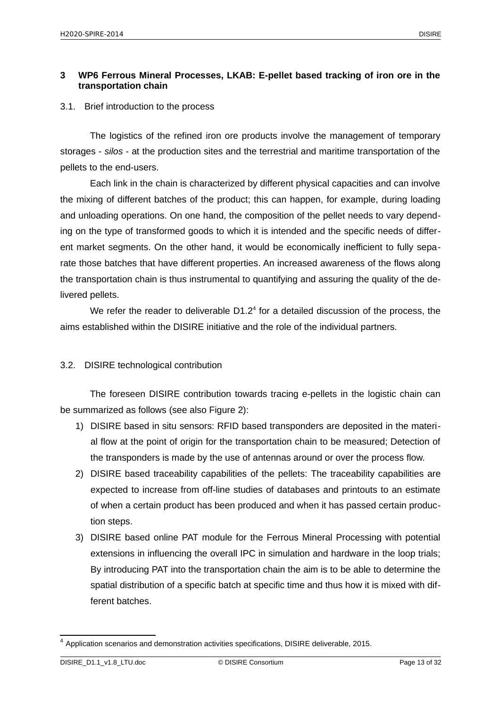## <span id="page-12-2"></span>**3 WP6 Ferrous Mineral Processes, LKAB: E-pellet based tracking of iron ore in the transportation chain**

## <span id="page-12-1"></span>3.1. Brief introduction to the process

The logistics of the refined iron ore products involve the management of temporary storages - *silos* - at the production sites and the terrestrial and maritime transportation of the pellets to the end-users.

Each link in the chain is characterized by different physical capacities and can involve the mixing of different batches of the product; this can happen, for example, during loading and unloading operations. On one hand, the composition of the pellet needs to vary depending on the type of transformed goods to which it is intended and the specific needs of different market segments. On the other hand, it would be economically inefficient to fully separate those batches that have different properties. An increased awareness of the flows along the transportation chain is thus instrumental to quantifying and assuring the quality of the delivered pellets.

We refer the reader to deliverable  $D1.2<sup>4</sup>$  $D1.2<sup>4</sup>$  $D1.2<sup>4</sup>$  for a detailed discussion of the process, the aims established within the DISIRE initiative and the role of the individual partners.

## <span id="page-12-0"></span>3.2. DISIRE technological contribution

The foreseen DISIRE contribution towards tracing e-pellets in the logistic chain can be summarized as follows (see also Figure 2):

- 1) DISIRE based in situ sensors: RFID based transponders are deposited in the material flow at the point of origin for the transportation chain to be measured; Detection of the transponders is made by the use of antennas around or over the process flow.
- 2) DISIRE based traceability capabilities of the pellets: The traceability capabilities are expected to increase from off-line studies of databases and printouts to an estimate of when a certain product has been produced and when it has passed certain production steps.
- 3) DISIRE based online PAT module for the Ferrous Mineral Processing with potential extensions in influencing the overall IPC in simulation and hardware in the loop trials; By introducing PAT into the transportation chain the aim is to be able to determine the spatial distribution of a specific batch at specific time and thus how it is mixed with different batches.

<span id="page-12-3"></span><sup>4</sup> Application scenarios and demonstration activities specifications, DISIRE deliverable, 2015.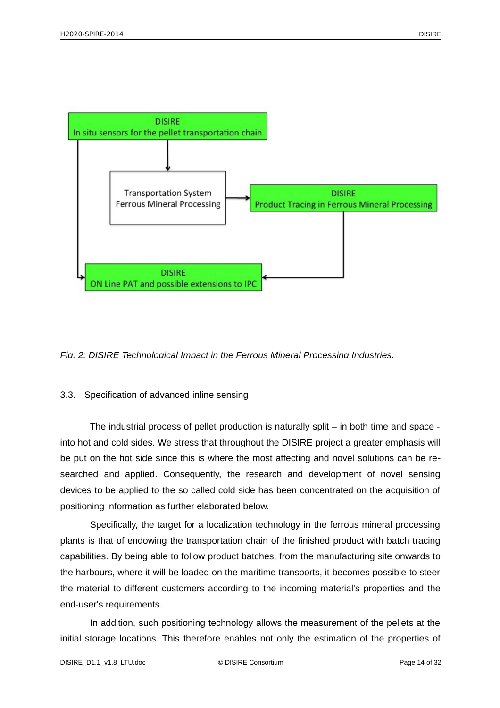

*Fig. 2: DISIRE Technological Impact in the Ferrous Mineral Processing Industries.*

## <span id="page-13-0"></span>3.3. Specification of advanced inline sensing

The industrial process of pellet production is naturally split – in both time and space into hot and cold sides. We stress that throughout the DISIRE project a greater emphasis will be put on the hot side since this is where the most affecting and novel solutions can be researched and applied. Consequently, the research and development of novel sensing devices to be applied to the so called cold side has been concentrated on the acquisition of positioning information as further elaborated below.

Specifically, the target for a localization technology in the ferrous mineral processing plants is that of endowing the transportation chain of the finished product with batch tracing capabilities. By being able to follow product batches, from the manufacturing site onwards to the harbours, where it will be loaded on the maritime transports, it becomes possible to steer the material to different customers according to the incoming material's properties and the end-user's requirements.

In addition, such positioning technology allows the measurement of the pellets at the initial storage locations. This therefore enables not only the estimation of the properties of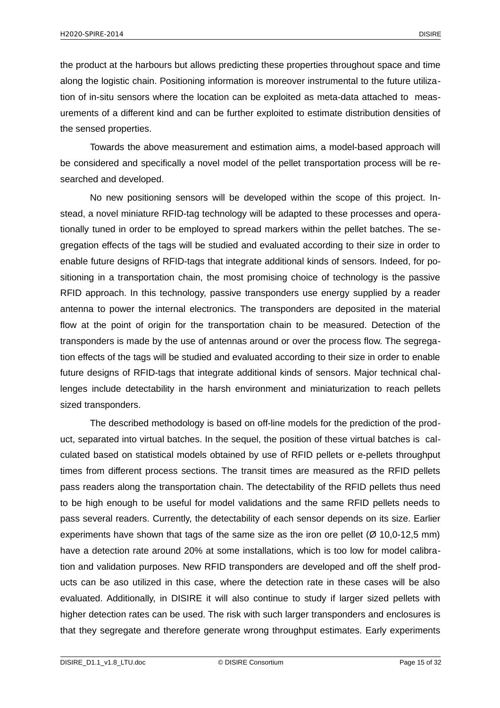the product at the harbours but allows predicting these properties throughout space and time along the logistic chain. Positioning information is moreover instrumental to the future utilization of in-situ sensors where the location can be exploited as meta-data attached to measurements of a different kind and can be further exploited to estimate distribution densities of the sensed properties.

Towards the above measurement and estimation aims, a model-based approach will be considered and specifically a novel model of the pellet transportation process will be researched and developed.

No new positioning sensors will be developed within the scope of this project. Instead, a novel miniature RFID-tag technology will be adapted to these processes and operationally tuned in order to be employed to spread markers within the pellet batches. The segregation effects of the tags will be studied and evaluated according to their size in order to enable future designs of RFID-tags that integrate additional kinds of sensors. Indeed, for positioning in a transportation chain, the most promising choice of technology is the passive RFID approach. In this technology, passive transponders use energy supplied by a reader antenna to power the internal electronics. The transponders are deposited in the material flow at the point of origin for the transportation chain to be measured. Detection of the transponders is made by the use of antennas around or over the process flow. The segregation effects of the tags will be studied and evaluated according to their size in order to enable future designs of RFID-tags that integrate additional kinds of sensors. Major technical challenges include detectability in the harsh environment and miniaturization to reach pellets sized transponders.

The described methodology is based on off-line models for the prediction of the product, separated into virtual batches. In the sequel, the position of these virtual batches is calculated based on statistical models obtained by use of RFID pellets or e-pellets throughput times from different process sections. The transit times are measured as the RFID pellets pass readers along the transportation chain. The detectability of the RFID pellets thus need to be high enough to be useful for model validations and the same RFID pellets needs to pass several readers. Currently, the detectability of each sensor depends on its size. Earlier experiments have shown that tags of the same size as the iron ore pellet  $(Ø 10,0-12,5 \text{ mm})$ have a detection rate around 20% at some installations, which is too low for model calibration and validation purposes. New RFID transponders are developed and off the shelf products can be aso utilized in this case, where the detection rate in these cases will be also evaluated. Additionally, in DISIRE it will also continue to study if larger sized pellets with higher detection rates can be used. The risk with such larger transponders and enclosures is that they segregate and therefore generate wrong throughput estimates. Early experiments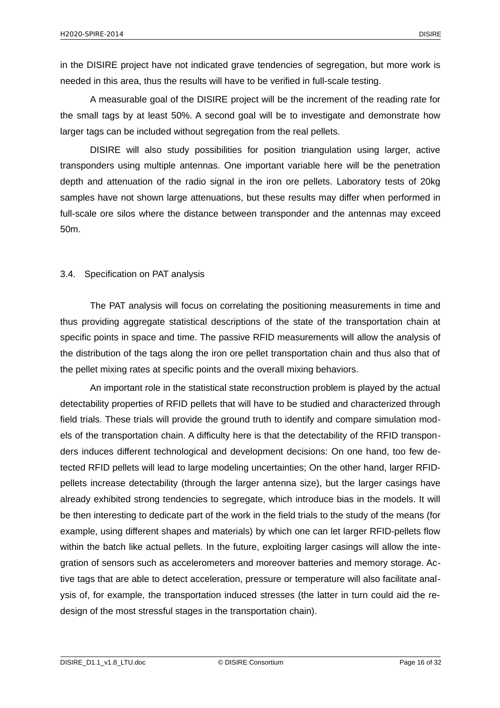in the DISIRE project have not indicated grave tendencies of segregation, but more work is needed in this area, thus the results will have to be verified in full-scale testing.

A measurable goal of the DISIRE project will be the increment of the reading rate for the small tags by at least 50%. A second goal will be to investigate and demonstrate how larger tags can be included without segregation from the real pellets.

DISIRE will also study possibilities for position triangulation using larger, active transponders using multiple antennas. One important variable here will be the penetration depth and attenuation of the radio signal in the iron ore pellets. Laboratory tests of 20kg samples have not shown large attenuations, but these results may differ when performed in full-scale ore silos where the distance between transponder and the antennas may exceed 50m.

#### <span id="page-15-0"></span>3.4. Specification on PAT analysis

The PAT analysis will focus on correlating the positioning measurements in time and thus providing aggregate statistical descriptions of the state of the transportation chain at specific points in space and time. The passive RFID measurements will allow the analysis of the distribution of the tags along the iron ore pellet transportation chain and thus also that of the pellet mixing rates at specific points and the overall mixing behaviors.

An important role in the statistical state reconstruction problem is played by the actual detectability properties of RFID pellets that will have to be studied and characterized through field trials. These trials will provide the ground truth to identify and compare simulation models of the transportation chain. A difficulty here is that the detectability of the RFID transponders induces different technological and development decisions: On one hand, too few detected RFID pellets will lead to large modeling uncertainties; On the other hand, larger RFIDpellets increase detectability (through the larger antenna size), but the larger casings have already exhibited strong tendencies to segregate, which introduce bias in the models. It will be then interesting to dedicate part of the work in the field trials to the study of the means (for example, using different shapes and materials) by which one can let larger RFID-pellets flow within the batch like actual pellets. In the future, exploiting larger casings will allow the integration of sensors such as accelerometers and moreover batteries and memory storage. Active tags that are able to detect acceleration, pressure or temperature will also facilitate analysis of, for example, the transportation induced stresses (the latter in turn could aid the redesign of the most stressful stages in the transportation chain).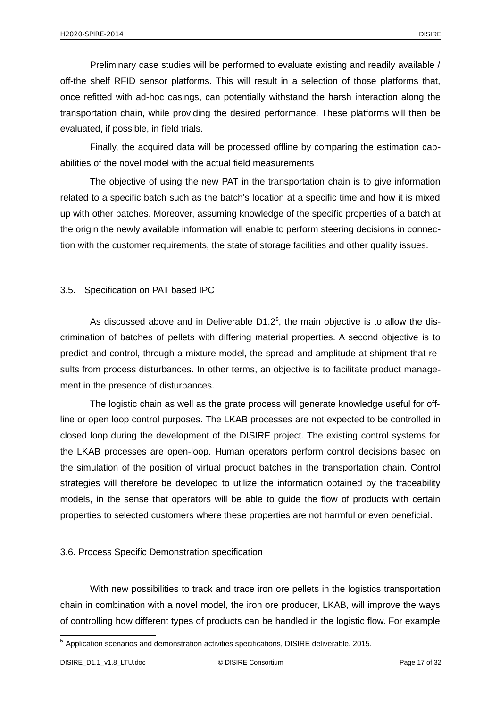Preliminary case studies will be performed to evaluate existing and readily available / off-the shelf RFID sensor platforms. This will result in a selection of those platforms that, once refitted with ad-hoc casings, can potentially withstand the harsh interaction along the transportation chain, while providing the desired performance. These platforms will then be evaluated, if possible, in field trials.

Finally, the acquired data will be processed offline by comparing the estimation capabilities of the novel model with the actual field measurements

The objective of using the new PAT in the transportation chain is to give information related to a specific batch such as the batch's location at a specific time and how it is mixed up with other batches. Moreover, assuming knowledge of the specific properties of a batch at the origin the newly available information will enable to perform steering decisions in connection with the customer requirements, the state of storage facilities and other quality issues.

## <span id="page-16-1"></span>3.5. Specification on PAT based IPC

As discussed above and in Deliverable  $D1.2<sup>5</sup>$  $D1.2<sup>5</sup>$  $D1.2<sup>5</sup>$ , the main objective is to allow the discrimination of batches of pellets with differing material properties. A second objective is to predict and control, through a mixture model, the spread and amplitude at shipment that results from process disturbances. In other terms, an objective is to facilitate product management in the presence of disturbances.

The logistic chain as well as the grate process will generate knowledge useful for offline or open loop control purposes. The LKAB processes are not expected to be controlled in closed loop during the development of the DISIRE project. The existing control systems for the LKAB processes are open-loop. Human operators perform control decisions based on the simulation of the position of virtual product batches in the transportation chain. Control strategies will therefore be developed to utilize the information obtained by the traceability models, in the sense that operators will be able to guide the flow of products with certain properties to selected customers where these properties are not harmful or even beneficial.

## <span id="page-16-0"></span>3.6. Process Specific Demonstration specification

With new possibilities to track and trace iron ore pellets in the logistics transportation chain in combination with a novel model, the iron ore producer, LKAB, will improve the ways of controlling how different types of products can be handled in the logistic flow. For example

<span id="page-16-2"></span><sup>5</sup> Application scenarios and demonstration activities specifications, DISIRE deliverable, 2015.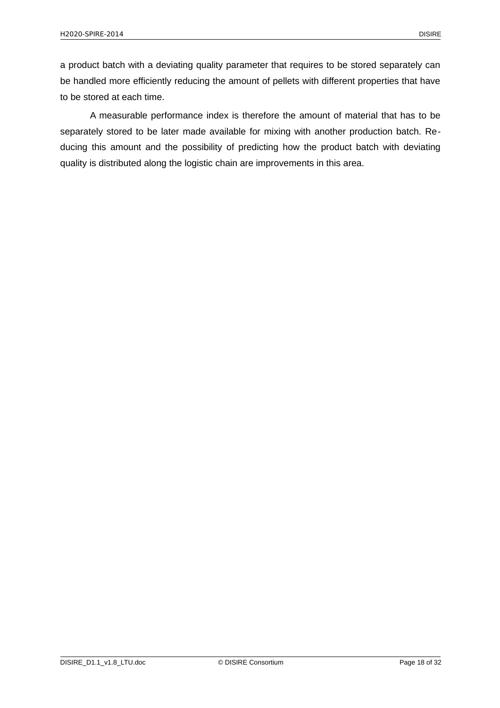a product batch with a deviating quality parameter that requires to be stored separately can be handled more efficiently reducing the amount of pellets with different properties that have to be stored at each time.

A measurable performance index is therefore the amount of material that has to be separately stored to be later made available for mixing with another production batch. Reducing this amount and the possibility of predicting how the product batch with deviating quality is distributed along the logistic chain are improvements in this area.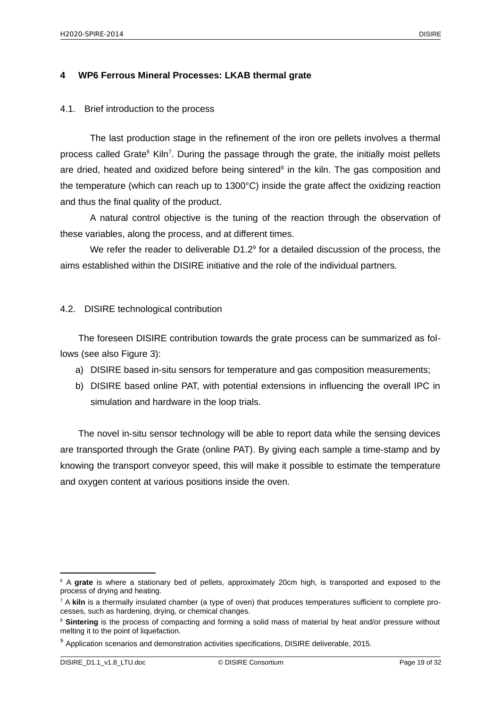#### <span id="page-18-2"></span>**4 WP6 Ferrous Mineral Processes: LKAB thermal grate**

#### <span id="page-18-1"></span>4.1. Brief introduction to the process

The last production stage in the refinement of the iron ore pellets involves a thermal process called Grate<sup>[6](#page-18-3)</sup> Kiln<sup>[7](#page-18-4)</sup>. During the passage through the grate, the initially moist pellets are dried, heated and oxidized before being sintered<sup>[8](#page-18-5)</sup> in the kiln. The gas composition and the temperature (which can reach up to 1300°C) inside the grate affect the oxidizing reaction and thus the final quality of the product.

A natural control objective is the tuning of the reaction through the observation of these variables, along the process, and at different times.

We refer the reader to deliverable  $D1.2<sup>9</sup>$  $D1.2<sup>9</sup>$  $D1.2<sup>9</sup>$  for a detailed discussion of the process, the aims established within the DISIRE initiative and the role of the individual partners.

#### <span id="page-18-0"></span>4.2. DISIRE technological contribution

The foreseen DISIRE contribution towards the grate process can be summarized as follows (see also Figure 3):

- a) DISIRE based in-situ sensors for temperature and gas composition measurements;
- b) DISIRE based online PAT, with potential extensions in influencing the overall IPC in simulation and hardware in the loop trials.

The novel in-situ sensor technology will be able to report data while the sensing devices are transported through the Grate (online PAT). By giving each sample a time-stamp and by knowing the transport conveyor speed, this will make it possible to estimate the temperature and oxygen content at various positions inside the oven.

<span id="page-18-3"></span><sup>&</sup>lt;sup>6</sup> A grate is where a stationary bed of pellets, approximately 20cm high, is transported and exposed to the process of drying and heating.

<span id="page-18-4"></span><sup>7</sup> A **kiln** is a thermally insulated chamber (a type of oven) that produces temperatures sufficient to complete processes, such as hardening, drying, or chemical changes.

<span id="page-18-5"></span><sup>&</sup>lt;sup>8</sup> Sintering is the process of compacting and forming a solid mass of material by heat and/or pressure without melting it to the point of liquefaction.

<span id="page-18-6"></span><sup>&</sup>lt;sup>9</sup> Application scenarios and demonstration activities specifications, DISIRE deliverable, 2015.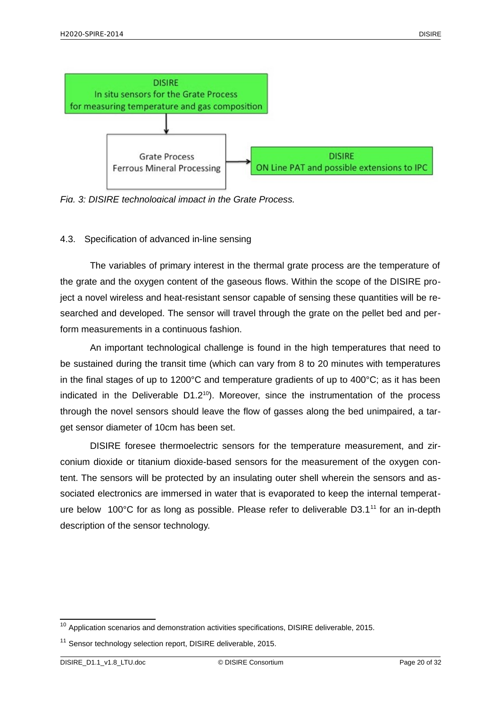

*Fig. 3: DISIRE technological impact in the Grate Process.*

## <span id="page-19-0"></span>4.3. Specification of advanced in-line sensing

The variables of primary interest in the thermal grate process are the temperature of the grate and the oxygen content of the gaseous flows. Within the scope of the DISIRE project a novel wireless and heat-resistant sensor capable of sensing these quantities will be researched and developed. The sensor will travel through the grate on the pellet bed and perform measurements in a continuous fashion.

An important technological challenge is found in the high temperatures that need to be sustained during the transit time (which can vary from 8 to 20 minutes with temperatures in the final stages of up to  $1200^{\circ}$ C and temperature gradients of up to  $400^{\circ}$ C; as it has been indicated in the Deliverable  $D1.2^{10}$  $D1.2^{10}$  $D1.2^{10}$ ). Moreover, since the instrumentation of the process through the novel sensors should leave the flow of gasses along the bed unimpaired, a target sensor diameter of 10cm has been set.

DISIRE foresee thermoelectric sensors for the temperature measurement, and zirconium dioxide or titanium dioxide-based sensors for the measurement of the oxygen content. The sensors will be protected by an insulating outer shell wherein the sensors and associated electronics are immersed in water that is evaporated to keep the internal temperature below 100°C for as long as possible. Please refer to deliverable  $D3.1^{11}$  $D3.1^{11}$  $D3.1^{11}$  for an in-depth description of the sensor technology.

<span id="page-19-1"></span> $10$  Application scenarios and demonstration activities specifications, DISIRE deliverable, 2015.

<span id="page-19-2"></span><sup>&</sup>lt;sup>11</sup> Sensor technology selection report, DISIRE deliverable, 2015.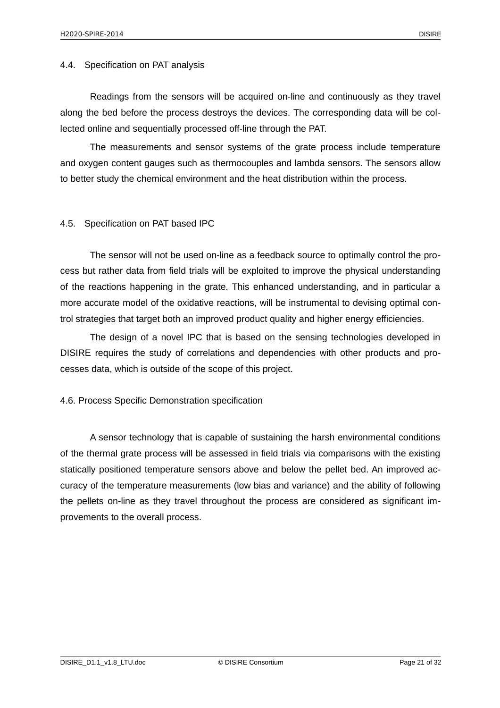#### <span id="page-20-2"></span>4.4. Specification on PAT analysis

Readings from the sensors will be acquired on-line and continuously as they travel along the bed before the process destroys the devices. The corresponding data will be collected online and sequentially processed off-line through the PAT.

The measurements and sensor systems of the grate process include temperature and oxygen content gauges such as thermocouples and lambda sensors. The sensors allow to better study the chemical environment and the heat distribution within the process.

#### <span id="page-20-1"></span>4.5. Specification on PAT based IPC

The sensor will not be used on-line as a feedback source to optimally control the process but rather data from field trials will be exploited to improve the physical understanding of the reactions happening in the grate. This enhanced understanding, and in particular a more accurate model of the oxidative reactions, will be instrumental to devising optimal control strategies that target both an improved product quality and higher energy efficiencies.

The design of a novel IPC that is based on the sensing technologies developed in DISIRE requires the study of correlations and dependencies with other products and processes data, which is outside of the scope of this project.

#### <span id="page-20-0"></span>4.6. Process Specific Demonstration specification

A sensor technology that is capable of sustaining the harsh environmental conditions of the thermal grate process will be assessed in field trials via comparisons with the existing statically positioned temperature sensors above and below the pellet bed. An improved accuracy of the temperature measurements (low bias and variance) and the ability of following the pellets on-line as they travel throughout the process are considered as significant improvements to the overall process.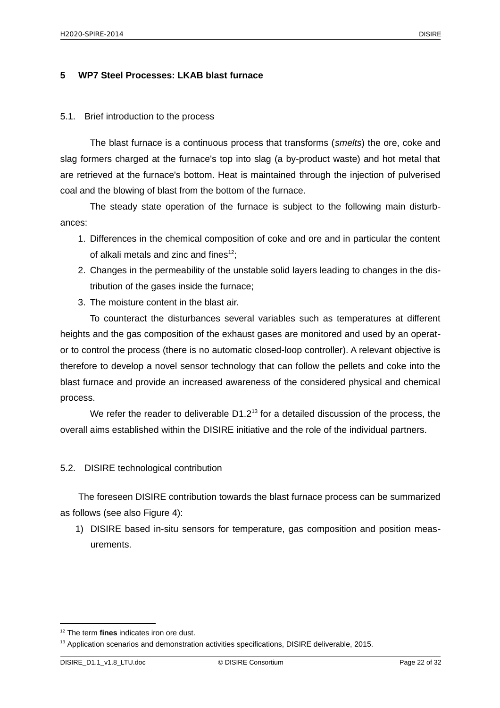## <span id="page-21-2"></span>**5 WP7 Steel Processes: LKAB blast furnace**

#### <span id="page-21-1"></span>5.1. Brief introduction to the process

The blast furnace is a continuous process that transforms (*smelts*) the ore, coke and slag formers charged at the furnace's top into slag (a by-product waste) and hot metal that are retrieved at the furnace's bottom. Heat is maintained through the injection of pulverised coal and the blowing of blast from the bottom of the furnace.

The steady state operation of the furnace is subject to the following main disturbances:

- 1. Differences in the chemical composition of coke and ore and in particular the content of alkali metals and zinc and fines $^{12}$  $^{12}$  $^{12}$ ;
- 2. Changes in the permeability of the unstable solid layers leading to changes in the distribution of the gases inside the furnace;
- 3. The moisture content in the blast air.

To counteract the disturbances several variables such as temperatures at different heights and the gas composition of the exhaust gases are monitored and used by an operator to control the process (there is no automatic closed-loop controller). A relevant objective is therefore to develop a novel sensor technology that can follow the pellets and coke into the blast furnace and provide an increased awareness of the considered physical and chemical process.

We refer the reader to deliverable  $D1.2<sup>13</sup>$  $D1.2<sup>13</sup>$  $D1.2<sup>13</sup>$  for a detailed discussion of the process, the overall aims established within the DISIRE initiative and the role of the individual partners.

## <span id="page-21-0"></span>5.2. DISIRE technological contribution

The foreseen DISIRE contribution towards the blast furnace process can be summarized as follows (see also Figure 4):

1) DISIRE based in-situ sensors for temperature, gas composition and position measurements.

<span id="page-21-3"></span><sup>12</sup> The term **fines** indicates iron ore dust.

<span id="page-21-4"></span> $13$  Application scenarios and demonstration activities specifications, DISIRE deliverable, 2015.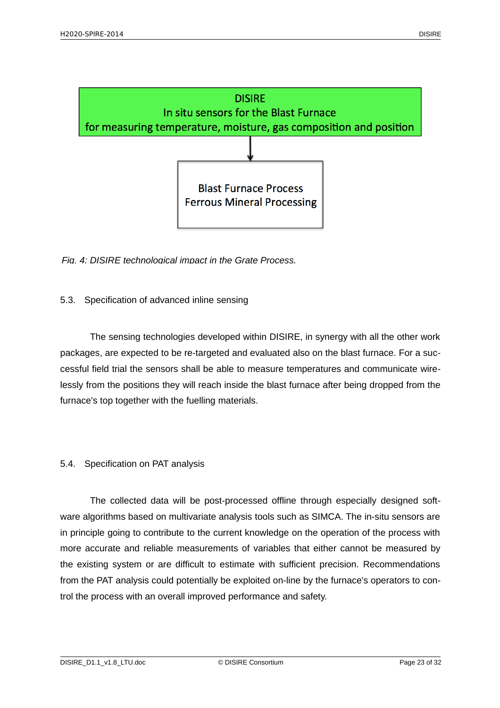

*Fig. 4: DISIRE technological impact in the Grate Process.*

## <span id="page-22-1"></span>5.3. Specification of advanced inline sensing

The sensing technologies developed within DISIRE, in synergy with all the other work packages, are expected to be re-targeted and evaluated also on the blast furnace. For a successful field trial the sensors shall be able to measure temperatures and communicate wirelessly from the positions they will reach inside the blast furnace after being dropped from the furnace's top together with the fuelling materials.

## <span id="page-22-0"></span>5.4. Specification on PAT analysis

The collected data will be post-processed offline through especially designed software algorithms based on multivariate analysis tools such as SIMCA. The in-situ sensors are in principle going to contribute to the current knowledge on the operation of the process with more accurate and reliable measurements of variables that either cannot be measured by the existing system or are difficult to estimate with sufficient precision. Recommendations from the PAT analysis could potentially be exploited on-line by the furnace's operators to control the process with an overall improved performance and safety.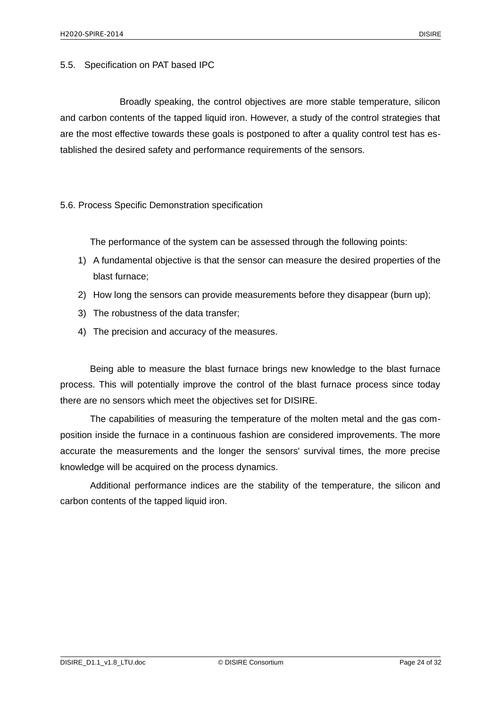<span id="page-23-1"></span>5.5. Specification on PAT based IPC

Broadly speaking, the control objectives are more stable temperature, silicon and carbon contents of the tapped liquid iron. However, a study of the control strategies that are the most effective towards these goals is postponed to after a quality control test has established the desired safety and performance requirements of the sensors.

#### <span id="page-23-0"></span>5.6. Process Specific Demonstration specification

The performance of the system can be assessed through the following points:

- 1) A fundamental objective is that the sensor can measure the desired properties of the blast furnace;
- 2) How long the sensors can provide measurements before they disappear (burn up);
- 3) The robustness of the data transfer;
- 4) The precision and accuracy of the measures.

Being able to measure the blast furnace brings new knowledge to the blast furnace process. This will potentially improve the control of the blast furnace process since today there are no sensors which meet the objectives set for DISIRE.

The capabilities of measuring the temperature of the molten metal and the gas composition inside the furnace in a continuous fashion are considered improvements. The more accurate the measurements and the longer the sensors' survival times, the more precise knowledge will be acquired on the process dynamics.

Additional performance indices are the stability of the temperature, the silicon and carbon contents of the tapped liquid iron.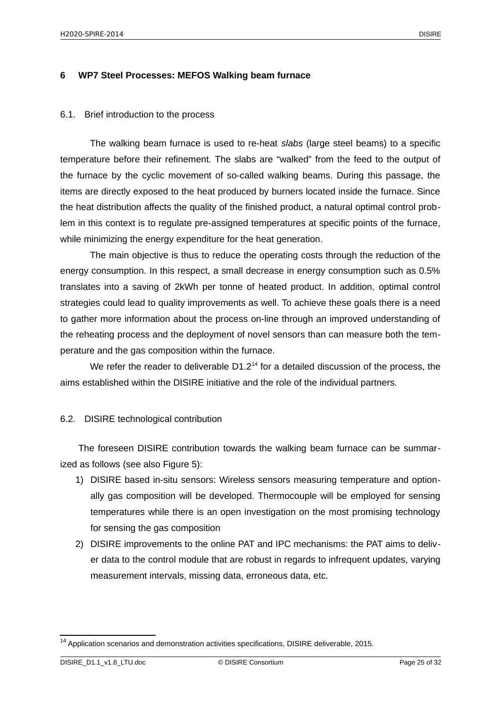#### <span id="page-24-2"></span>**6 WP7 Steel Processes: MEFOS Walking beam furnace**

#### <span id="page-24-1"></span>6.1. Brief introduction to the process

The walking beam furnace is used to re-heat *slabs* (large steel beams) to a specific temperature before their refinement. The slabs are "walked" from the feed to the output of the furnace by the cyclic movement of so-called walking beams. During this passage, the items are directly exposed to the heat produced by burners located inside the furnace. Since the heat distribution affects the quality of the finished product, a natural optimal control problem in this context is to regulate pre-assigned temperatures at specific points of the furnace, while minimizing the energy expenditure for the heat generation.

The main objective is thus to reduce the operating costs through the reduction of the energy consumption. In this respect, a small decrease in energy consumption such as 0.5% translates into a saving of 2kWh per tonne of heated product. In addition, optimal control strategies could lead to quality improvements as well. To achieve these goals there is a need to gather more information about the process on-line through an improved understanding of the reheating process and the deployment of novel sensors than can measure both the temperature and the gas composition within the furnace.

We refer the reader to deliverable  $D1.2<sup>14</sup>$  $D1.2<sup>14</sup>$  $D1.2<sup>14</sup>$  for a detailed discussion of the process, the aims established within the DISIRE initiative and the role of the individual partners.

## <span id="page-24-0"></span>6.2. DISIRE technological contribution

The foreseen DISIRE contribution towards the walking beam furnace can be summarized as follows (see also Figure 5):

- 1) DISIRE based in-situ sensors: Wireless sensors measuring temperature and optionally gas composition will be developed. Thermocouple will be employed for sensing temperatures while there is an open investigation on the most promising technology for sensing the gas composition
- 2) DISIRE improvements to the online PAT and IPC mechanisms: the PAT aims to deliver data to the control module that are robust in regards to infrequent updates, varying measurement intervals, missing data, erroneous data, etc.

<span id="page-24-3"></span> $^{14}$  Application scenarios and demonstration activities specifications, DISIRE deliverable, 2015.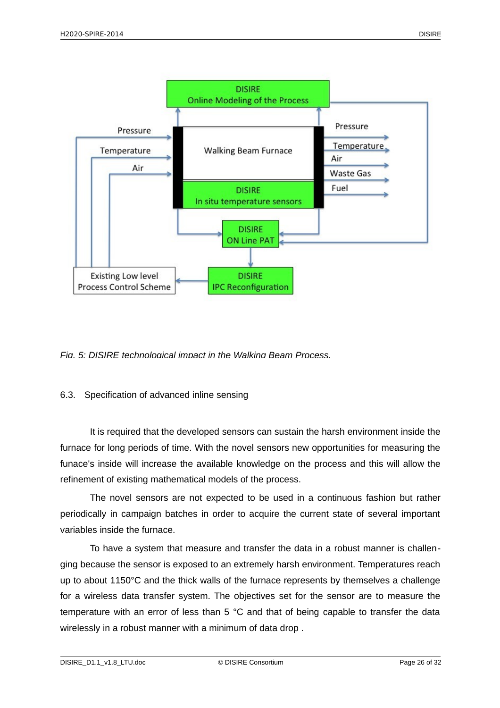

## *Fig. 5: DISIRE technological impact in the Walking Beam Process.*

## <span id="page-25-0"></span>6.3. Specification of advanced inline sensing

It is required that the developed sensors can sustain the harsh environment inside the furnace for long periods of time. With the novel sensors new opportunities for measuring the funace's inside will increase the available knowledge on the process and this will allow the refinement of existing mathematical models of the process.

The novel sensors are not expected to be used in a continuous fashion but rather periodically in campaign batches in order to acquire the current state of several important variables inside the furnace.

To have a system that measure and transfer the data in a robust manner is challenging because the sensor is exposed to an extremely harsh environment. Temperatures reach up to about 1150°C and the thick walls of the furnace represents by themselves a challenge for a wireless data transfer system. The objectives set for the sensor are to measure the temperature with an error of less than 5 °C and that of being capable to transfer the data wirelessly in a robust manner with a minimum of data drop .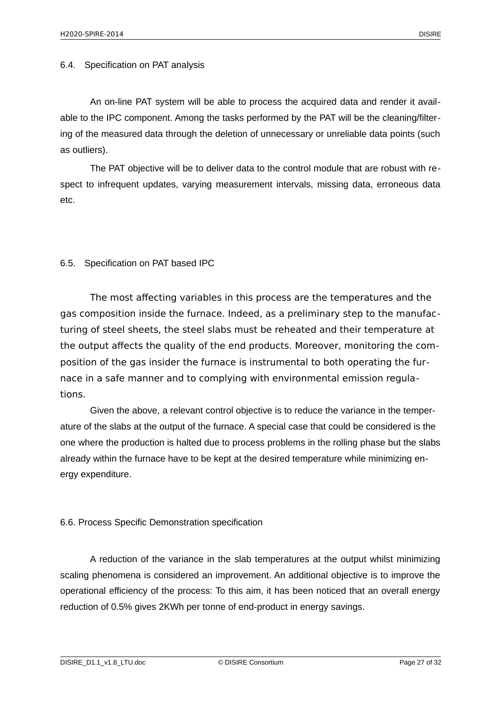#### <span id="page-26-2"></span>6.4. Specification on PAT analysis

An on-line PAT system will be able to process the acquired data and render it available to the IPC component. Among the tasks performed by the PAT will be the cleaning/filtering of the measured data through the deletion of unnecessary or unreliable data points (such as outliers).

The PAT objective will be to deliver data to the control module that are robust with respect to infrequent updates, varying measurement intervals, missing data, erroneous data etc.

#### <span id="page-26-1"></span>6.5. Specification on PAT based IPC

The most affecting variables in this process are the temperatures and the gas composition inside the furnace. Indeed, as a preliminary step to the manufacturing of steel sheets, the steel slabs must be reheated and their temperature at the output affects the quality of the end products. Moreover, monitoring the composition of the gas insider the furnace is instrumental to both operating the furnace in a safe manner and to complying with environmental emission regulations.

Given the above, a relevant control objective is to reduce the variance in the temperature of the slabs at the output of the furnace. A special case that could be considered is the one where the production is halted due to process problems in the rolling phase but the slabs already within the furnace have to be kept at the desired temperature while minimizing energy expenditure.

## <span id="page-26-0"></span>6.6. Process Specific Demonstration specification

A reduction of the variance in the slab temperatures at the output whilst minimizing scaling phenomena is considered an improvement. An additional objective is to improve the operational efficiency of the process: To this aim, it has been noticed that an overall energy reduction of 0.5% gives 2KWh per tonne of end-product in energy savings.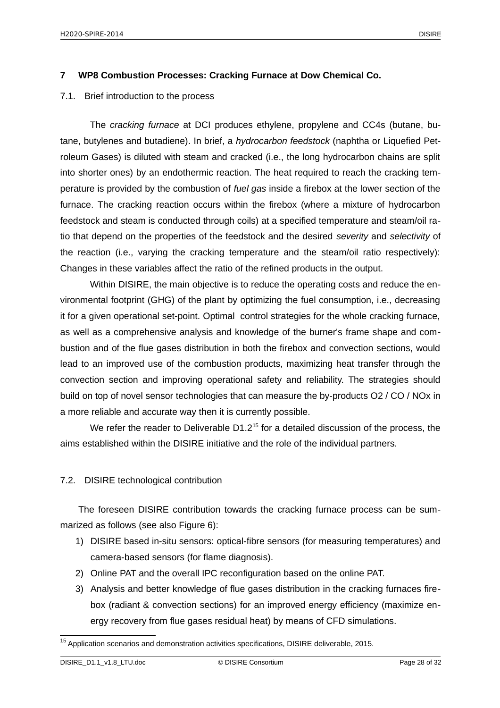## <span id="page-27-0"></span>**7 WP8 Combustion Processes: Cracking Furnace at Dow Chemical Co.**

#### <span id="page-27-2"></span>7.1. Brief introduction to the process

The *cracking furnace* at DCI produces ethylene, propylene and CC4s (butane, butane, butylenes and butadiene). In brief, a *hydrocarbon feedstock* (naphtha or Liquefied Petroleum Gases) is diluted with steam and cracked (i.e., the long hydrocarbon chains are split into shorter ones) by an endothermic reaction. The heat required to reach the cracking temperature is provided by the combustion of *fuel gas* inside a firebox at the lower section of the furnace. The cracking reaction occurs within the firebox (where a mixture of hydrocarbon feedstock and steam is conducted through coils) at a specified temperature and steam/oil ratio that depend on the properties of the feedstock and the desired *severity* and *selectivity* of the reaction (i.e., varying the cracking temperature and the steam/oil ratio respectively): Changes in these variables affect the ratio of the refined products in the output.

Within DISIRE, the main objective is to reduce the operating costs and reduce the environmental footprint (GHG) of the plant by optimizing the fuel consumption, i.e., decreasing it for a given operational set-point. Optimal control strategies for the whole cracking furnace, as well as a comprehensive analysis and knowledge of the burner's frame shape and combustion and of the flue gases distribution in both the firebox and convection sections, would lead to an improved use of the combustion products, maximizing heat transfer through the convection section and improving operational safety and reliability. The strategies should build on top of novel sensor technologies that can measure the by-products O2 / CO / NOx in a more reliable and accurate way then it is currently possible.

We refer the reader to Deliverable D1.2<sup>[15](#page-27-3)</sup> for a detailed discussion of the process, the aims established within the DISIRE initiative and the role of the individual partners.

## <span id="page-27-1"></span>7.2. DISIRE technological contribution

The foreseen DISIRE contribution towards the cracking furnace process can be summarized as follows (see also Figure 6):

- 1) DISIRE based in-situ sensors: optical-fibre sensors (for measuring temperatures) and camera-based sensors (for flame diagnosis).
- 2) Online PAT and the overall IPC reconfiguration based on the online PAT.
- 3) Analysis and better knowledge of flue gases distribution in the cracking furnaces firebox (radiant & convection sections) for an improved energy efficiency (maximize energy recovery from flue gases residual heat) by means of CFD simulations.

<span id="page-27-3"></span> $15$  Application scenarios and demonstration activities specifications, DISIRE deliverable, 2015.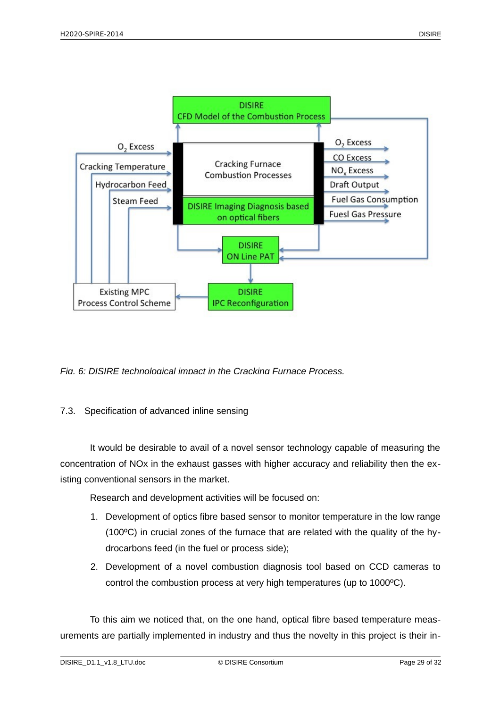

*Fig. 6: DISIRE technological impact in the Cracking Furnace Process.*

## <span id="page-28-0"></span>7.3. Specification of advanced inline sensing

It would be desirable to avail of a novel sensor technology capable of measuring the concentration of NOx in the exhaust gasses with higher accuracy and reliability then the existing conventional sensors in the market.

Research and development activities will be focused on:

- 1. Development of optics fibre based sensor to monitor temperature in the low range (100ºC) in crucial zones of the furnace that are related with the quality of the hydrocarbons feed (in the fuel or process side);
- 2. Development of a novel combustion diagnosis tool based on CCD cameras to control the combustion process at very high temperatures (up to 1000ºC).

To this aim we noticed that, on the one hand, optical fibre based temperature measurements are partially implemented in industry and thus the novelty in this project is their in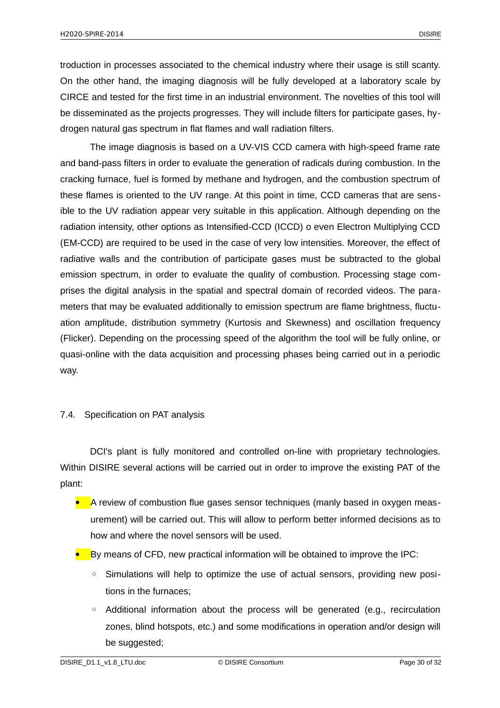troduction in processes associated to the chemical industry where their usage is still scanty. On the other hand, the imaging diagnosis will be fully developed at a laboratory scale by CIRCE and tested for the first time in an industrial environment. The novelties of this tool will be disseminated as the projects progresses. They will include filters for participate gases, hydrogen natural gas spectrum in flat flames and wall radiation filters.

The image diagnosis is based on a UV-VIS CCD camera with high-speed frame rate and band-pass filters in order to evaluate the generation of radicals during combustion. In the cracking furnace, fuel is formed by methane and hydrogen, and the combustion spectrum of these flames is oriented to the UV range. At this point in time, CCD cameras that are sensible to the UV radiation appear very suitable in this application. Although depending on the radiation intensity, other options as Intensified-CCD (ICCD) o even Electron Multiplying CCD (EM-CCD) are required to be used in the case of very low intensities. Moreover, the effect of radiative walls and the contribution of participate gases must be subtracted to the global emission spectrum, in order to evaluate the quality of combustion. Processing stage comprises the digital analysis in the spatial and spectral domain of recorded videos. The parameters that may be evaluated additionally to emission spectrum are flame brightness, fluctuation amplitude, distribution symmetry (Kurtosis and Skewness) and oscillation frequency (Flicker). Depending on the processing speed of the algorithm the tool will be fully online, or quasi-online with the data acquisition and processing phases being carried out in a periodic way.

## <span id="page-29-0"></span>7.4. Specification on PAT analysis

DCI's plant is fully monitored and controlled on-line with proprietary technologies. Within DISIRE several actions will be carried out in order to improve the existing PAT of the plant:

- **A** review of combustion flue gases sensor techniques (manly based in oxygen measurement) will be carried out. This will allow to perform better informed decisions as to how and where the novel sensors will be used.
- By means of CFD, new practical information will be obtained to improve the IPC:
	- Simulations will help to optimize the use of actual sensors, providing new positions in the furnaces;
	- Additional information about the process will be generated (e.g., recirculation zones, blind hotspots, etc.) and some modifications in operation and/or design will be suggested;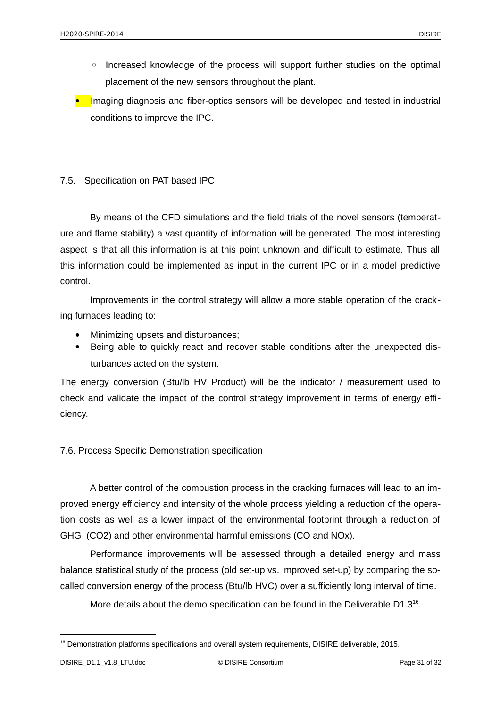- Increased knowledge of the process will support further studies on the optimal placement of the new sensors throughout the plant.
- **•** Imaging diagnosis and fiber-optics sensors will be developed and tested in industrial conditions to improve the IPC.

## <span id="page-30-1"></span>7.5. Specification on PAT based IPC

By means of the CFD simulations and the field trials of the novel sensors (temperature and flame stability) a vast quantity of information will be generated. The most interesting aspect is that all this information is at this point unknown and difficult to estimate. Thus all this information could be implemented as input in the current IPC or in a model predictive control.

Improvements in the control strategy will allow a more stable operation of the cracking furnaces leading to:

- Minimizing upsets and disturbances;
- Being able to quickly react and recover stable conditions after the unexpected disturbances acted on the system.

The energy conversion (Btu/lb HV Product) will be the indicator / measurement used to check and validate the impact of the control strategy improvement in terms of energy efficiency.

<span id="page-30-0"></span>7.6. Process Specific Demonstration specification

A better control of the combustion process in the cracking furnaces will lead to an improved energy efficiency and intensity of the whole process yielding a reduction of the operation costs as well as a lower impact of the environmental footprint through a reduction of GHG (CO2) and other environmental harmful emissions (CO and NOx).

Performance improvements will be assessed through a detailed energy and mass balance statistical study of the process (old set-up vs. improved set-up) by comparing the socalled conversion energy of the process (Btu/lb HVC) over a sufficiently long interval of time.

More details about the demo specification can be found in the Deliverable  $D1.3^{16}$  $D1.3^{16}$  $D1.3^{16}$ .

<span id="page-30-2"></span><sup>&</sup>lt;sup>16</sup> Demonstration platforms specifications and overall system requirements, DISIRE deliverable, 2015.